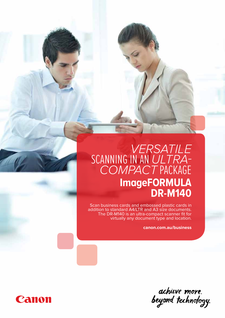# *Versatile* SCANNING IN AN ULTRA*compact* package **ImageFORMULA DR-M140**

Scan business cards and embossed plastic cards in addition to standard A4/LTR and A3 size documents. The DR-M140 is an ultra-compact scanner fit for virtually any document type and location.

**canon.com.au/business**

achieve more.<br>beyond technology.

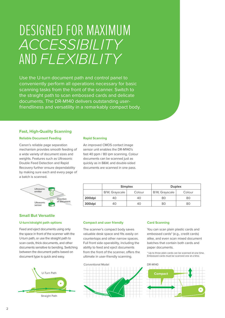# Designed for maximum *accessibility* and *flexibility*

Use the U-turn document path and control panel to conveniently perform all operations necessary for basic scanning tasks from the front of the scanner. Switch to the straight path to scan embossed cards and delicate documents. The DR-M140 delivers outstanding userfriendliness and versatility in a remarkably compact body.

#### **Fast, High-Quality Scanning**

#### **Reliable Document Feeding**

Canon's reliable page separation mechanism provides smooth feeding of a wide variety of document sizes and weights. Features such as Ultrasonic Double Feed Detection and Rapid Recovery further ensure dependability by making sure each and every page of a batch is scanned.

#### **Rapid Scanning**

An improved CMOS contact image sensor unit enables the DR-M140's fast 40 ppm / 80 ipm scanning. Colour documents can be scanned just as quickly as in B&W, and double-sided documents are scanned in one pass.

| Ultrasonic<br>emitter |                          |
|-----------------------|--------------------------|
| Ultrasonic<br>sensor  | Direction<br>of document |

#### **Small But Versatile**

#### **U-turn/straight path options**

Feed and eject documents using only the space in front of the scanner with the U-turn path, or use the straight path to scan cards, thick documents, and other documents sensitive to bending. Switching between the document paths based on document type is quick and easy.



|        | <b>Simplex</b> |        | <b>Duplex</b>  |        |
|--------|----------------|--------|----------------|--------|
|        | B/W, Grayscale | Colour | B/W, Grayscale | Colour |
| 200dpi | 40             | 40     | 80             | 80     |
| 300dpi | 40             | 40     | 80             | 80     |

#### **Compact and user friendly**

The scanner's compact body saves valuable desk space and fits easily on countertops and other narrow spaces. Full front side operability, including the ability to feed and eject documents from the front of the scanner, offers the ultimate in user-friendly scanning.



#### **Card Scanning**

You can scan plain plastic cards and embossed cards\* (e.g., credit cards) alike, and even scan mixed document batches that contain both cards and paper documents.

\* Up to three plain cards can be scanned at one time. Embossed cards must be scanned one at a time.

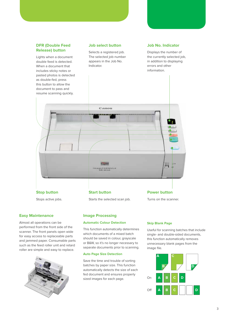#### **DFR (Double Feed Release) button**

Lights when a document double feed is detected. When a document that includes sticky notes or pasted photos is detected as double-fed, press this button to allow the

#### **Job select button**

Selects a registered job. The selected job number appears in the Job No. Indicator.

#### **Job No. Indicator**

Displays the number of the currently selected job, in addition to displaying errors and other information.



Stops active jobs.

#### **Easy Maintenance**

Almost all operations can be performed from the front side of the scanner. The front panels open wide for easy access to replaceable parts and jammed paper. Consumable parts such as the feed roller unit and retard roller are simple and easy to replace.



Starts the selected scan job.

#### **Image Processing**

#### **Automatic Colour Detection**

This function automatically determines which documents of a mixed batch should be saved in colour, grayscale or B&W, so it's no longer necessary to separate documents prior to scanning.

#### **Auto Page Size Detection**

Save the time and trouble of sorting batches by paper size. This function automatically detects the size of each fed document and ensures properly sized images for each page.

#### **Skip Blank Page**

Turns on the scanner.

Useful for scanning batches that include single- and double-sided documents, this function automatically removes unnecessary blank pages from the image file.